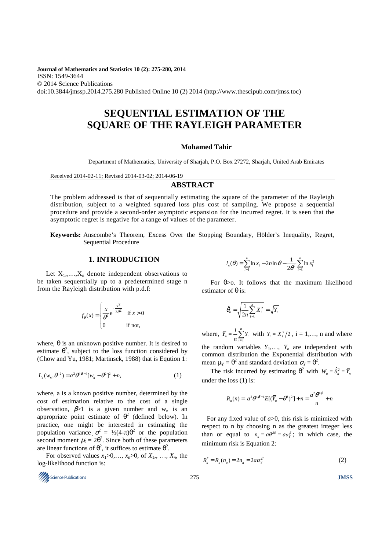**Journal of Mathematics and Statistics 10 (2): 275-280, 2014**  ISSN: 1549-3644 © 2014 Science Publications doi:10.3844/jmssp.2014.275.280 Published Online 10 (2) 2014 (http://www.thescipub.com/jmss.toc)

# **SEQUENTIAL ESTIMATION OF THE SQUARE OF THE RAYLEIGH PARAMETER**

### **Mohamed Tahir**

Department of Mathematics, University of Sharjah, P.O. Box 27272, Sharjah, United Arab Emirates

Received 2014-02-11; Revised 2014-03-02; 2014-06-19

# **ABSTRACT**

The problem addressed is that of sequentially estimating the square of the parameter of the Rayleigh distribution, subject to a weighted squared loss plus cost of sampling. We propose a sequential procedure and provide a second-order asymptotic expansion for the incurred regret. It is seen that the asymptotic regret is negative for a range of values of the parameter.

**Keywords:** Anscombe's Theorem, Excess Over the Stopping Boundary, Hölder's Inequality, Regret, Sequential Procedure

# **1. INTRODUCTION**

Let  $X_1,...,X_n$  denote independent observations to be taken sequentially up to a predetermined stage n from the Rayleigh distribution with p.d.f:

$$
f_{\theta}(x) = \begin{cases} \frac{x}{\theta^2} e^{-\frac{x^2}{2\theta^2}} & \text{if } x > 0\\ 0 & \text{if not,} \end{cases}
$$

where,  $\theta$  is an unknown positive number. It is desired to estimate  $\theta^2$ , subject to the loss function considered by (Chow and Yu, 1981; Martinsek, 1988) that is Eqution 1:

$$
L_a(w_n, \theta^2) = a^2 \theta^{4\beta - 4} [w_n - \theta^2]^2 + n,
$$
 (1)

where, a is a known positive number, determined by the cost of estimation relative to the cost of a single observation,  $\beta > 1$  is a given number and w<sub>n</sub> is an appropriate point estimate of  $\theta^2$  (defined below). In practice, one might be interested in estimating the population variance  $\sigma^2 = \frac{1}{2}(4-\pi)\theta^2$  or the population second moment  $\mu_2 = 2\theta^2$ . Since both of these parameters are linear functions of  $\theta^2$ , it suffices to estimate  $\theta^2$ .

For observed values  $x_1>0, \ldots, x_n>0$ , of  $X_1, \ldots, X_n$ , the log-likelihood function is:

$$
l_n(\theta) = \sum_{i=1}^n \ln x_i - 2n \ln \theta - \frac{1}{2\theta^2} \sum_{i=1}^n \ln x_i^2
$$

For  $\theta$ >o. It follows that the maximum likelihood estimator of θ is:

$$
\hat{\theta}_n = \sqrt{\frac{1}{2n} \sum_{i=1}^n X_i^2} = \sqrt{\overline{Y}_n}
$$

where,  $\bar{Y}_n$ *n*  $\sum_{i=1}^{I}$  $\overline{Y}_n = \frac{1}{n} \sum_{i=1}^n Y_i$  with  $Y_i = X_i^2/2$ ,  $i = 1,..., n$  and where the random variables  $Y_1, \ldots, Y_n$  are independent with common distribution the Exponential distribution with mean  $\mu_Y = \theta^2$  and standard deviation  $\sigma_Y = \theta^2$ .

The risk incurred by estimating  $\theta^2$  with  $W_n = \hat{\theta}_n^2 = \overline{Y}_n$ under the loss (1) is:

$$
R_a(n) = a^2 \theta^{4\beta - 4} E[(\overline{Y}_n - \theta^2)^2] + n = \frac{a^2 \theta^{4\beta}}{n} + n
$$

For any fixed value of *a*>0, this risk is minimized with respect to n by choosing n as the greatest integer less than or equal to  $n_a = a\theta^{2\beta} = a\sigma_y^{\beta}$ ; in which case, the minimum risk is Equation 2:

$$
R_a^* = R_a(n_a) = 2n_a = 2a\sigma_Y^{\beta}
$$
 (2)

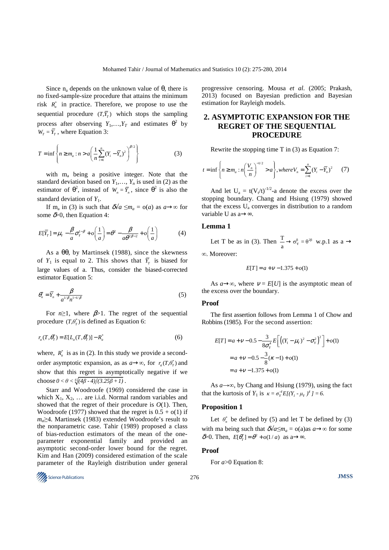Since  $n_a$  depends on the unknown value of  $\theta$ , there is no fixed-sample-size procedure that attains the minimum risk  $R_a^*$  in practice. Therefore, we propose to use the sequential procedure  $(T, \overline{Y}_T)$  which stops the sampling process after observing  $Y_1, \ldots, Y_T$  and estimates  $\theta^2$  by  $W_T = \overline{Y}_T$ , where Equation 3:

$$
T = \inf \left\{ n \ge m_a : n > a \left( \frac{1}{n} \sum_{i=1}^n (Y_i - \overline{Y}_n)^2 \right)^{\beta/2} \right\}
$$
 (3)

with m<sup>a</sup> being a positive integer. Note that the standard deviation based on  $Y_1, \ldots, Y_n$  is used in (2) as the estimator of  $\theta^2$ , instead of  $W_n = \overline{Y}_n$ , since  $\theta^2$  is also the standard deviation of  $Y_1$ .

If m<sub>a</sub> in (3) is such that  $\delta \sqrt{a} \leq m_a = o(a)$  as  $a \rightarrow \infty$  for some  $\delta$  >0, then Equation 4:

$$
E[\overline{Y}_T] = \mu_Y - \frac{\beta}{a}\sigma_Y^{1-\beta} + o\left(\frac{1}{a}\right) = \theta^2 - \frac{\beta}{a\theta^{2\beta - 2}} + o\left(\frac{1}{a}\right)
$$
(4)

As a  $θθ$ , by Martinsek (1988), since the skewness of  $Y_1$  is equal to 2. This shows that  $\overline{Y}_T$  is biased for large values of a. Thus, consider the biased-corrected estimator Equation 5:

$$
\theta_n^* = \overline{Y}_n + \frac{\beta}{a^{1/\beta} n^{1-1/\beta}}
$$
\n(5)

For  $n \ge 1$ , where  $\beta > 1$ . The regret of the sequential procedure  $(T, \theta^*_T)$  is defined as Equation 6:

$$
r_a(T, \theta_T^*) = E[L_a(T, \theta_T^*)] - R_a^*
$$
 (6)

where,  $R_a^*$  is as in (2). In this study we provide a secondorder asymptotic expansion, as as  $a \rightarrow \infty$ , for  $r_a(T, \theta^*_T)$  and show that this regret is asymptotically negative if we choose  $0 < \theta < \sqrt[6]{(\frac{4\beta - 4}{3.25\beta + 1})}$ .

Starr and Woodroofe (1969) considered the case in which  $X_1, X_2, \ldots$  are i.i.d. Normal random variables and showed that the regret of their procedure is *O*(1). Then, Woodroofe (1977) showed that the regret is  $0.5 + o(1)$  if *ma*≥4. Martinsek (1983) extended Woodroofe's result to the nonparametric case. Tahir (1989) proposed a class of bias-reduction estimators of the mean of the oneparameter exponential family and provided an asymptotic second-order lower bound for the regret. Kim and Han (2009) considered estimation of the scale parameter of the Rayleigh distribution under general

Science Publications 276 **JMSS** 

progressive censoring. Mousa *et al*. (2005; Prakash, 2013) focused on Bayesian prediction and Bayesian estimation for Rayleigh models.

# **2. ASYMPTOTIC EXPANSION FOR THE REGRET OF THE SEQUENTIAL PROCEDURE**

Rewrite the stopping time T in (3) as Equation 7:

$$
t = \inf \left\{ n \ge m_a : n \left( \frac{V_n}{n} \right)^{-1/2} > a \right\}, \text{where } V_n = \sum_{i=1}^n (Y_i - \overline{Y}_n)^2 \qquad (7)
$$

And let  $U_a = t(V_t/t)^{-1/2}$ -a denote the excess over the stopping boundary. Chang and Hsiung (1979) showed that the excess  $U_a$  converges in distribution to a random variable U as a→∞.

### **Lemma 1**

Let T be as in (3). Then  $\frac{T}{a} \rightarrow \sigma_Y^{\beta} = \theta^{2\beta}$  w.p.1 as a  $\rightarrow$ ∞. Moreover:

$$
E[T] = a + v - 1.375 + o(1)
$$

As  $a \rightarrow \infty$ , where  $v = E[U]$  is the asymptotic mean of the excess over the boundary.

#### **Proof**

The first assertion follows from Lemma 1 of Chow and Robbins (1985). For the second assertion:

$$
E[T] = a + v - 0.5 - \frac{3}{8\sigma_Y^4} E\left[ \left( (Y_1 - \mu_Y)^2 - \sigma_Y^2 \right)^2 \right] + o(1)
$$
  
= a + v - 0.5 - \frac{3}{8} (x - 1) + o(1)  
= a + v - 1.375 + o(1)

As *a*→∞, by Chang and Hsiung (1979), using the fact that the kurtosis of  $Y_1$  is  $\kappa = \sigma_Y^4 E[(Y_1 - \mu_Y)^4] = 6$ .

### **Proposition 1**

Let  $\theta_n^*$  be defined by (5) and let T be defined by (3) with ma being such that  $\delta \sqrt{a} \leq m_a = o(a)$  as  $a \rightarrow \infty$  for some  $\delta$ >0. Then,  $E[\theta_{r}^{*}] = \theta^{2} + o(1/a)$  as a→∞.

#### **Proof**

For *a*>0 Equation 8:

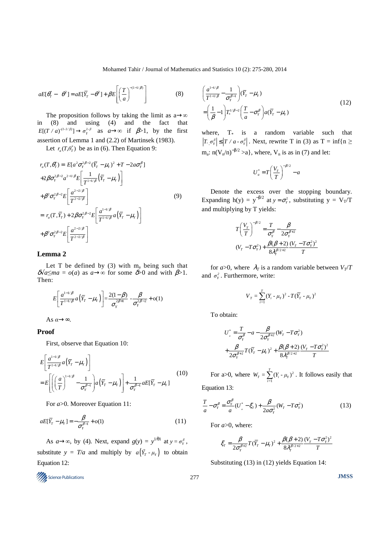### Mohamed Tahir / Journal of Mathematics and Statistics 10 (2): 275-280, 2014

$$
aE[\theta_T^* - \theta^2] = aE[\overline{Y}_T - \theta^2] + \beta E\left[\left(\frac{T}{a}\right)^{-(1-1/\beta)}\right]
$$
(8)

The proposition follows by taking the limit as  $a \rightarrow \infty$ in (8) and using (4) and the fact that  $E[(T \mid a)^{(1-1/\beta)}] \to \sigma_Y^{1-\beta}$  as  $a \to \infty$  if  $\beta > 1$ , by the first assertion of Lemma 1 and (2.2) of Martinsek (1983).

Let  $r_a(T, \theta^*_T)$  be as in (6). Then Equation 9:

$$
r_a(T, \theta_T^*) = E[a^2 \sigma_Y^{2\beta - 2} (\overline{Y}_T - \mu_Y)^2 + T - 2a\sigma_Y^{\beta}]
$$
  
+2\beta \sigma\_Y^{2\beta - 2} a^{2-1/\beta} E\left[\frac{1}{T^{1-1/\beta}} (\overline{Y}\_T - \mu\_Y)\right]  
+ \beta^2 \sigma\_Y^{2\beta - 2} E\left[\frac{a^{2-2/\beta}}{T^{2-2/\beta}}\right] (9)  
= r\_a(T, \overline{Y}\_T) + 2\beta \sigma\_Y^{2\beta - 2} E\left[\frac{a^{1-1/\beta}}{T^{1-1/\beta}} a(\overline{Y}\_T - \mu\_Y)\right]  
+ \beta^2 \sigma\_Y^{2\beta - 2} E\left[\frac{a^{2-2/\beta}}{T^{2-2/\beta}}\right] (9)

# **Lemma 2**

Let T be defined by  $(3)$  with  $m_a$  being such that  $\delta\sqrt{a} \leq ma = o(a)$  as  $a \to \infty$  for some  $\delta > 0$  and with  $\beta > 1$ . Then:

$$
E\left[\frac{a^{1-1/\beta}}{T^{1-1/\beta}}a(\bar{Y}_T-\mu_Y)\right] = \frac{2(1-\beta)}{\sigma_Y^{2\beta+1}} - \frac{\beta}{\sigma_Y^{2\beta-2}} + o(1)
$$

As  $\alpha \rightarrow \infty$ .

# **Proof**

First, observe that Equation 10:

$$
E\left[\frac{a^{1-1/\beta}}{T^{1-1/\beta}}a(\overline{Y}_T - \mu_Y)\right]
$$
  
= 
$$
E\left[\left(\left(\frac{a}{T}\right)^{1-1/\beta} - \frac{1}{\sigma_Y^{\beta-1}}\right)a(\overline{Y}_T - \mu_Y)\right] + \frac{1}{\sigma_Y^{\beta-1}}aE[\overline{Y}_T - \mu_Y]
$$
(10)

For *a*>0. Moreover Equation 11:

$$
aE[\overline{Y}_T - \mu_Y] = -\frac{\beta}{\sigma_Y^{\beta - 1}} + o(1)
$$
\n(11)

As  $a \rightarrow \infty$ , by (4). Next, expand  $g(y) = y^{1/\theta 1}$  at  $y = \sigma_y^{\beta}$ , substitute  $y = T/a$  and multiply by  $a(\vec{Y}_T - \mu_Y)$  to obtain Equation 12:

Science Publications 277 **JMSS** 

$$
\left(\frac{a^{1-1/\beta}}{T^{1-1/\beta}} - \frac{1}{\sigma_Y^{\beta-1}}\right)(\overline{Y}_T - \mu_Y)
$$
\n
$$
= \left(\frac{1}{\beta} - 1\right) T_*^{1/\beta-2} \left(\frac{T}{a} - \sigma_Y^{\beta}\right) a(\overline{Y}_T - \mu_Y) \tag{12}
$$

where,  $T_*$  is a random variable such that  $T_* \sigma_r^{\beta} \leq |T / a \cdot \sigma_r^{\beta}|$ . Next, rewrite T in (3) as T = inf{n ≥  $m_a$ : n(V<sub>n</sub>/n)<sup>-β/2</sup> >a}, where, V<sub>n</sub> is as in (7) and let:

$$
U_a^* = T \left(\frac{V_T}{T}\right)^{-\beta/2} - a
$$

Denote the excess over the stopping boundary. Expanding h(y) =  $y^{-\beta/2}$  at  $y = \sigma_y^2$ , substituting  $y = V_T/T$ and multiplying by T yields:

$$
T\left(\frac{V_r}{T}\right)^{-\beta/2} = \frac{T}{\sigma_r^{\beta}} - \frac{\beta}{2\sigma_r^{\beta+2}}
$$
  
(V<sub>T</sub> - T $\sigma_r^2$ ) +  $\frac{\beta(\beta + 2)}{8\lambda_r^{\beta/2+2}} \frac{(V_T - T\sigma_r^2)^2}{T}$ 

for  $a > 0$ , where  $\lambda_T$  is a random variable between  $V_T/T$ and  $\sigma_Y^2$ . Furthermore, write:

$$
V_T = \sum_{i=1}^{T} (Y_i - \mu_Y)^2 - T(\overline{Y}_T - \mu_Y)^2
$$

To obtain:

$$
U_{a}^{*} = \frac{T}{\sigma_{Y}^{\beta}} - a - \frac{\beta}{2\sigma_{Y}^{\beta+2}} (W_{T} - T\sigma_{Y}^{2})
$$
  
+ 
$$
\frac{\beta}{2\sigma_{Y}^{\beta+2}} T(\overline{Y}_{T} - \mu_{Y})^{2} + \frac{\beta(\beta+2)}{8\lambda_{Y}^{\beta/2+2}} \frac{(V_{T} - T\sigma_{Y}^{2})^{2}}{T}
$$

For a>0, where  $W_T = \sum_{i=1}^{T} (Y_i - \mu_Y)^2$  $W_T = \sum_{i=1}^{1} (Y_i - \mu_Y)^2$ . It follows easily that Equation 13:

β

$$
\frac{T}{a} - \sigma_Y^{\beta} = \frac{\sigma_Y^{\beta}}{a} (U_a^* - \xi_T) + \frac{\beta}{2a\sigma_Y^2} (W_T - T\sigma_Y^2)
$$
\n(13)

For *a*>0, where:

$$
\xi_r = \frac{\beta}{2\sigma_r^{\beta+2}} T(\bar{Y}_r - \mu_r)^2 + \frac{\beta(\beta+2)}{8\lambda_r^{\beta/2+2}} \frac{(V_r - T\sigma_r^2)^2}{T}
$$

Substituting (13) in (12) yields Equation 14: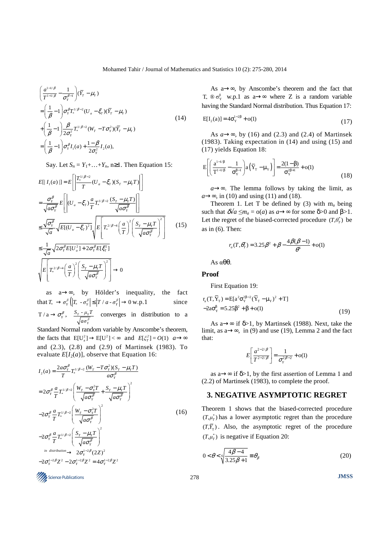$$
\begin{aligned}\n&\left(\frac{a^{1-1/\beta}}{T^{1-1/\beta}} - \frac{1}{\sigma_Y^{\beta-1}}\right) (\bar{Y}_T - \mu_Y) \\
&= \left(\frac{1}{\beta} - 1\right) \sigma_Y^{\beta} T_*^{1/\beta - 2} (U_a - \xi_T) (\bar{Y}_T - \mu_Y) \\
&+ \left(\frac{1}{\beta} - 1\right) \frac{\beta}{2\sigma_Y^2} T_*^{1/\beta - 2} (W_T - T\sigma_Y^2) (\bar{Y}_T - \mu_Y) \\
&= \left(\frac{1}{\beta} - 1\right) \sigma_Y^{\beta} I_1(a) + \frac{1-\beta}{2\sigma_Y^2} I_2(a),\n\end{aligned} \tag{14}
$$

Say. Let  $S_n = Y_1 + \ldots + Y_n$ , n≥1. Then Equation 15:

$$
E[|I_1(a)|] = E\left[\left|\frac{T_*^{1/\beta - 2}}{T}(U_a - \xi_T)(S_T - \mu_Y T)\right|\right]
$$
  
\n
$$
= \frac{\sigma_Y^{\beta}}{\sqrt{a\sigma_Y^{\beta}}} E\left[\left| (U_a - \xi_T)\frac{a}{T} T_*^{1/\beta - 2} \frac{(S_T - \mu_Y T)}{\sqrt{a\sigma_Y^{\beta}}}\right|\right]
$$
  
\n
$$
\leq \frac{\sqrt{\sigma_Y^{\beta}}}{\sqrt{a}} \sqrt{E[(U_a - \xi_T)^2]} \sqrt{E\left[T_*^{2/\beta - 4}\left(\frac{a}{T}\right)^2 \left(\frac{S_T - \mu_Y T}{\sqrt{a\sigma_Y^{\beta}}}\right)^2}\right]}
$$
(15)  
\n
$$
\leq \frac{1}{\sqrt{a}} \sqrt{2\sigma_Y^{\beta} E[U_a^2] + 2\sigma_Y^{\beta} E[\xi_T^2]}
$$
  
\n
$$
\sqrt{E\left[T_*^{2/\beta - 4}\left(\frac{a}{T}\right)^2 \left(\frac{S_T - \mu_Y T}{\sqrt{a\sigma_Y^{\beta}}}\right)^2\right]} \to 0
$$

as a→∞, by Hölder's inequality, the fact that  $T_* \to \sigma_r^{\beta} \left( |T_* - \sigma_r^{\beta}| \le |T / a - \sigma_r^{\beta}| \right) \to 0 \text{ w.p.1}$  since  $T / a \rightarrow \sigma_Y^{\beta}$ ,  $\frac{S_T - \mu_Y}{\sqrt{a \sigma_Y^{\beta}}}$  $S_T$  -  $\mu_Y T$ *aσ* converges in distribution to a

Standard Normal random variable by Anscombe's theorem, the facts that  $E[U_a^2] \to E[U^2] < \infty$  and  $E[\xi_\tau^2] = O(1)$   $a \to \infty$ and (2.3), (2.8) and (2.9) of Martinsek (1983). To evaluate  $E[I_2(a)]$ , observe that Equation 16:

$$
I_{2}(a) = \frac{2a\sigma_{\gamma}^{\beta}T_{*}^{1/\beta-2}\left(W_{T}-T\sigma_{\gamma}^{2}\right)(S_{T}-\mu_{\gamma}T)}{T}
$$
as a  $\rightarrow \infty$  if  $\delta > 1$ , by the first assertion of Lemma 1 and (2.2) of Martinssek (1983), to complete the proof.  
\n
$$
= 2\sigma_{\gamma}^{\beta} \frac{a}{T}T_{*}^{1/\beta-2}\left(\frac{W_{T}-\sigma_{\gamma}^{2}T}{\sqrt{a\sigma_{\gamma}^{\beta}}}\right)^{2}
$$
as a  $\rightarrow \infty$  if  $\delta > 1$ , by the first assertion of Lemma 1 and (2.2) of Martinssek (1983), to complete the proof.  
\n3. NEGATIVE ASYMPTOTIC REGRET  
\n
$$
-2\sigma_{\gamma}^{\beta} \frac{a}{T}T_{*}^{1/\beta-2}\left(\frac{W_{T}-\sigma_{\gamma}^{2}T}{\sqrt{a\sigma_{\gamma}^{\beta}}}\right)^{2}
$$
 (16) Theorem 1 shows that the biased-corrected procedure  $(T, \mu_{T}^{+})$  has a lower asymptotic regret than the procedure  $(T, \mu_{T}^{+})$  is negative if Equation 20:  
\n
$$
-2\sigma_{\gamma}^{\beta} \frac{a}{T}T_{*}^{1/\beta-2}\left(\frac{S_{T}-\mu_{\gamma}T}{\sqrt{a\sigma_{\gamma}^{\beta}}}\right)^{2}
$$
  $0 < \theta < \sqrt{\frac{4\beta-4}{3.25\beta+1}} \equiv \theta_{\beta}$  (20)  
\n
$$
-2\sigma_{\gamma}^{1-2\beta}Z^{2}-2\sigma_{\gamma}^{1-2\beta}Z^{2} = 4\sigma_{\gamma}^{1-2\beta}Z^{2}
$$

As a→∞, by Anscombe's theorem and the fact that  $T_* \otimes \sigma_Y^{\beta}$  w.p.1 as a→∞ where Z is a random variable having the Standard Normal distribution. Thus Equation 17:

$$
E[I_2(a)] = 4\sigma_Y^{1-2\beta} + o(1)
$$
\n(17)

As  $a \rightarrow \infty$ , by (16) and (2.3) and (2.4) of Martinsek (1983). Taking expectation in (14) and using (15) and (17) yields Equation 18:

$$
E\left[\left(\frac{a^{1-1/\beta}}{T^{1-1/\beta}}-\frac{1}{\sigma_Y^{\beta-1}}\right)a\left(\overline{Y}_T-\mu_Y\right)\right]=\frac{2(1-\beta)}{\sigma_Y^{2\beta+1}}+o(1)
$$
\n(18)

*a*→∞. The lemma follows by taking the limit, as  $a \rightarrow \infty$ , in (10) and using (11) and (18).

Theorem 1. Let T be defined by  $(3)$  with  $m_a$  being such that  $\delta \sqrt{a} \leq m_a = o(a)$  as  $a \rightarrow \infty$  for some  $\delta > 0$  and  $\beta > 1$ . Let the regret of the biased-corrected procedure  $(T, \theta^*_T)$  be as in  $(6)$ . Then:

$$
r_a(T, \theta_T^*) = 3.25\beta^2 + \beta - \frac{4\beta(\beta - 1)}{\theta^6} + o(1)
$$

As αθθ.

# **Proof**

First Equation 19:

$$
r_{a}(T, \overline{Y}_{T}) = E[a^{2}\sigma_{Y}^{2\beta-2}(\overline{Y}_{T} - \mu_{Y})^{2} + T]
$$
  
-2a $\sigma_{Y}^{\beta} = 5.25\beta^{2} + \beta + o(1)$  (19)

As a→∞ if  $\delta$ >1, by Martinsek (1988). Next, take the limit, as a→∞, in (9) and use (19), Lemma 2 and the fact that:

$$
E\left[\frac{a^{2-2/\beta}}{T^{2-2/\beta}}\right] = \frac{1}{\sigma_Y^{2\beta-2}} + o(1)
$$

as a→∞ if  $\delta$ >1, by the first assertion of Lemma 1 and (2.2) of Martinsek (1983), to complete the proof.

# **3. NEGATIVE ASYMPTOTIC REGRET**

Theorem 1 shows that the biased-corrected procedure  $(T, \mu_T^*)$  has a lower asymptotic regret than the procedure  $(T, \overline{Y}_T)$ . Also, the asymptotic regret of the procedure  $(T, \mu^*_T)$  is negative if Equation 20:

$$
0 < \theta < \sqrt[6]{\frac{4\beta - 4}{3.25\beta + 1}} \equiv \theta_{\beta}
$$
 (20)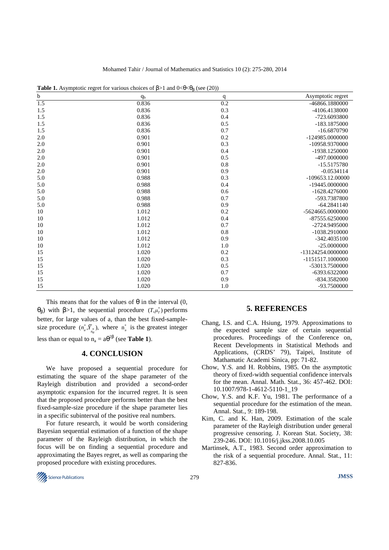| $\mathbf b$ | <b>rative 1.</b> Asymptotic regret for various choices of $p>1$ and $0<0<\theta0$ (see $(20)$ )<br>q <sub>b</sub> | $\boldsymbol{q}$ | Asymptotic regret |
|-------------|-------------------------------------------------------------------------------------------------------------------|------------------|-------------------|
| 1.5         | 0.836                                                                                                             | 0.2              | -46866.1880000    |
| 1.5         | 0.836                                                                                                             | 0.3              | -4106.4138000     |
| 1.5         | 0.836                                                                                                             | 0.4              | -723.6093800      |
| 1.5         | 0.836                                                                                                             | 0.5              | -183.1875000      |
| 1.5         | 0.836                                                                                                             | 0.7              | $-16.6870790$     |
| 2.0         | 0.901                                                                                                             | 0.2              | -124985.0000000   |
| 2.0         | 0.901                                                                                                             | 0.3              | -10958.9370000    |
| 2.0         | 0.901                                                                                                             | 0.4              | -1938.1250000     |
| 2.0         | 0.901                                                                                                             | 0.5              | -497.0000000      |
| 2.0         | 0.901                                                                                                             | 0.8              | $-15.5175780$     |
| 2.0         | 0.901                                                                                                             | 0.9              | $-0.0534114$      |
| 5.0         | 0.988                                                                                                             | 0.3              | $-109653.1200000$ |
| 5.0         | 0.988                                                                                                             | 0.4              | -19445.0000000    |
| 5.0         | 0.988                                                                                                             | 0.6              | $-1628.4276000$   |
| 5.0         | 0.988                                                                                                             | 0.7              | -593.7387800      |
| 5.0         | 0.988                                                                                                             | 0.9              | $-64.2841140$     |
| 10          | 1.012                                                                                                             | 0.2              | -5624665.0000000  |
| 10          | 1.012                                                                                                             | 0.4              | $-87555.6250000$  |
| 10          | 1.012                                                                                                             | 0.7              | -2724.9495000     |
| 10          | 1.012                                                                                                             | 0.8              | -1038.2910000     |
| 10          | 1.012                                                                                                             | 0.9              | $-342.4035100$    |
| 10          | 1.012                                                                                                             | 1.0              | $-25.0000000$     |
| 15          | 1.020                                                                                                             | 0.2              | -13124254.0000000 |
| 15          | 1.020                                                                                                             | 0.3              | -1151517.1000000  |
| 15          | 1.020                                                                                                             | 0.5              | -53013.7500000    |
| 15          | 1.020                                                                                                             | 0.7              | -6393.6322000     |
| 15          | 1.020                                                                                                             | 0.9              | -834.3582000      |
| 15          | 1.020                                                                                                             | 1.0              | -93.7500000       |

**Table 1.** Asymptotic regret for various choices of  $B > 1$  and  $0 < \theta < \theta$ , (see (20))

This means that for the values of  $\theta$  in the interval (0, θ<sub>β</sub>) with β>1, the sequential procedure  $(T, \mu^*_T)$  performs better, for large values of a, than the best fixed-samplesize procedure  $(n_a^*, \overline{Y}_{n_a^*})$ , where  $n_a^*$  is the greatest integer less than or equal to  $n_a = a\theta^{2\beta}$  (see **Table 1**).

# **4. CONCLUSION**

We have proposed a sequential procedure for estimating the square of the shape parameter of the Rayleigh distribution and provided a second-order asymptotic expansion for the incurred regret. It is seen that the proposed procedure performs better than the best fixed-sample-size procedure if the shape parameter lies in a specific subinterval of the positive real numbers.

For future research, it would be worth considering Bayesian sequential estimation of a function of the shape parameter of the Rayleigh distribution, in which the focus will be on finding a sequential procedure and approximating the Bayes regret, as well as comparing the proposed procedure with existing procedures.

## **5. REFERENCES**

- Chang, I.S. and C.A. Hsiung, 1979. Approximations to the expected sample size of certain sequential procedures. Proceedings of the Conference on, Recent Developments in Statistical Methods and Applications, (CRDS' 79), Taipei, Institute of Mathamatic Academi Sinica, pp: 71-82.
- Chow, Y.S. and H. Robbins, 1985. On the asymptotic theory of fixed-width sequential confidence intervals for the mean. Annal. Math. Stat., 36: 457-462. DOI: 10.1007/978-1-4612-5110-1\_19
- Chow, Y.S. and K.F. Yu, 1981. The performance of a sequential procedure for the estimation of the mean. Annal. Stat., 9: 189-198.
- Kim, C. and K. Han, 2009. Estimation of the scale parameter of the Rayleigh distribution under general progressive censoring. J. Korean Stat. Society, 38: 239-246. DOI: 10.1016/j.jkss.2008.10.005
- Martinsek, A.T., 1983. Second order approximation to the risk of a sequential procedure. Annal. Stat., 11: 827-836.